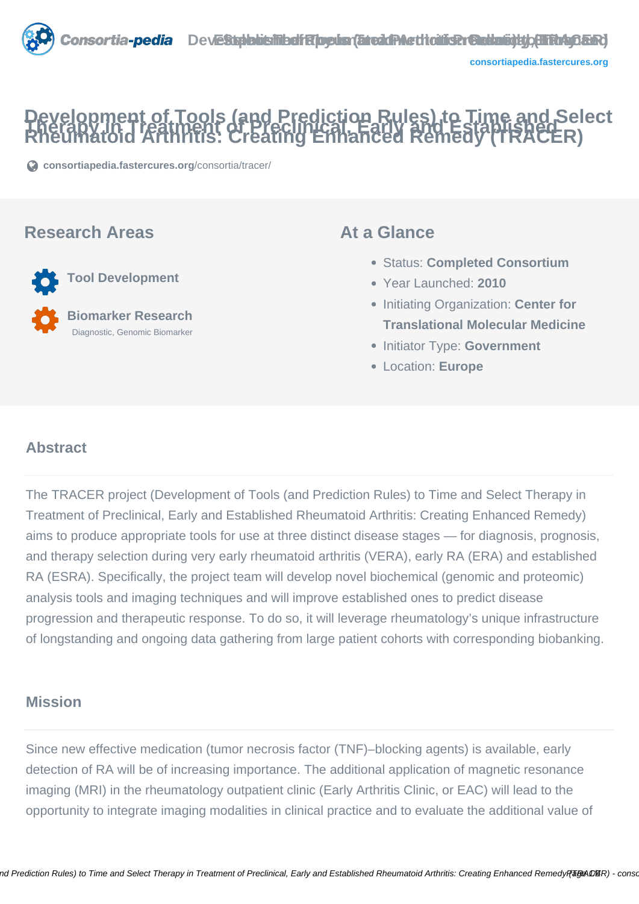# **Development of Tools (and Prediction Rules) to Time and Select Therapy in Treatment of Preclinical, Early and Established Rheumatoid Arthritis: Creating Enhanced Remedy (TRACER)**

**[consortiapedia.fastercures.org](https://consortiapedia.fastercures.org/consortia/tracer/)**[/consortia/tracer/](https://consortiapedia.fastercures.org/consortia/tracer/)

#### **Research Areas**



#### **At a Glance**

- Status: **Completed Consortium**
- Year Launched: **2010**
- **Initiating Organization: Center for Translational Molecular Medicine**
- **Initiator Type: Government**
- Location: **Europe**

#### $\overline{a}$ **Abstract**

The TRACER project (Development of Tools (and Prediction Rules) to Time and Select Therapy in Treatment of Preclinical, Early and Established Rheumatoid Arthritis: Creating Enhanced Remedy) aims to produce appropriate tools for use at three distinct disease stages — for diagnosis, prognosis, and therapy selection during very early rheumatoid arthritis (VERA), early RA (ERA) and established RA (ESRA). Specifically, the project team will develop novel biochemical (genomic and proteomic) analysis tools and imaging techniques and will improve established ones to predict disease progression and therapeutic response. To do so, it will leverage rheumatology's unique infrastructure of longstanding and ongoing data gathering from large patient cohorts with corresponding biobanking.

## **Mission**

Since new effective medication (tumor necrosis factor (TNF)–blocking agents) is available, early detection of RA will be of increasing importance. The additional application of magnetic resonance imaging (MRI) in the rheumatology outpatient clinic (Early Arthritis Clinic, or EAC) will lead to the opportunity to integrate imaging modalities in clinical practice and to evaluate the additional value of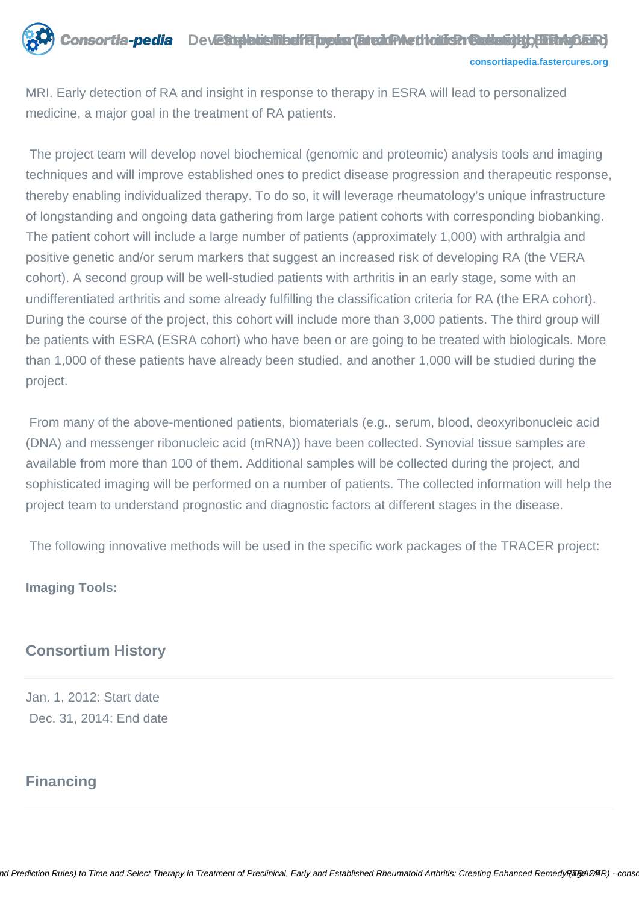

MRI. Early detection of RA and insight in response to therapy in ESRA will lead to personalized medicine, a major goal in the treatment of RA patients.

 The project team will develop novel biochemical (genomic and proteomic) analysis tools and imaging techniques and will improve established ones to predict disease progression and therapeutic response, thereby enabling individualized therapy. To do so, it will leverage rheumatology's unique infrastructure of longstanding and ongoing data gathering from large patient cohorts with corresponding biobanking. The patient cohort will include a large number of patients (approximately 1,000) with arthralgia and positive genetic and/or serum markers that suggest an increased risk of developing RA (the VERA cohort). A second group will be well-studied patients with arthritis in an early stage, some with an undifferentiated arthritis and some already fulfilling the classification criteria for RA (the ERA cohort). During the course of the project, this cohort will include more than 3,000 patients. The third group will be patients with ESRA (ESRA cohort) who have been or are going to be treated with biologicals. More than 1,000 of these patients have already been studied, and another 1,000 will be studied during the project.

 From many of the above-mentioned patients, biomaterials (e.g., serum, blood, deoxyribonucleic acid (DNA) and messenger ribonucleic acid (mRNA)) have been collected. Synovial tissue samples are available from more than 100 of them. Additional samples will be collected during the project, and sophisticated imaging will be performed on a number of patients. The collected information will help the project team to understand prognostic and diagnostic factors at different stages in the disease.

The following innovative methods will be used in the specific work packages of the TRACER project:

**Imaging Tools:**

#### **Consortium History**

Jan. 1, 2012: Start date Dec. 31, 2014: End date

# **Financing**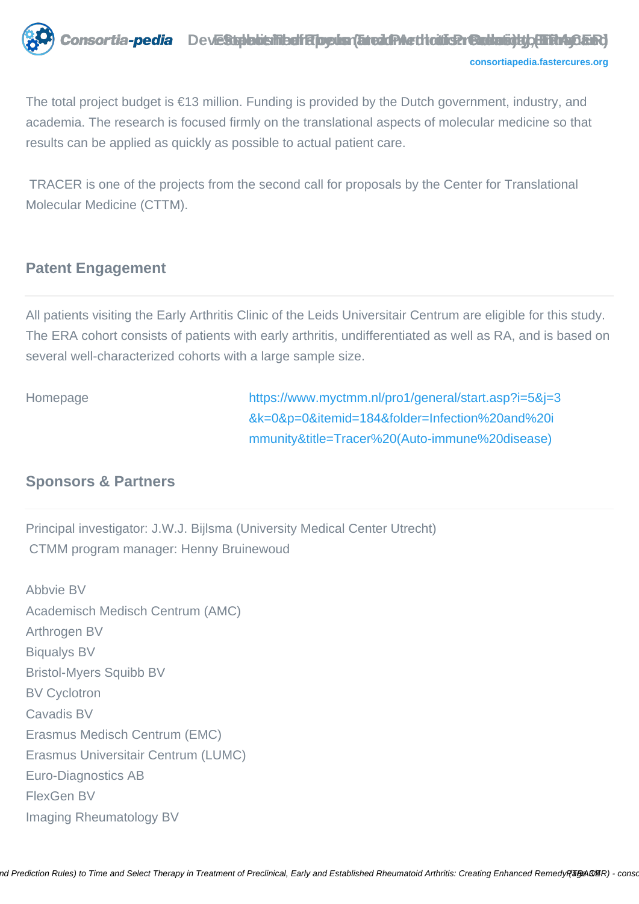

The total project budget is €13 million. Funding is provided by the Dutch government, industry, and academia. The research is focused firmly on the translational aspects of molecular medicine so that results can be applied as quickly as possible to actual patient care.

 TRACER is one of the projects from the second call for proposals by the Center for Translational Molecular Medicine (CTTM).

#### **Patent Engagement**

All patients visiting the Early Arthritis Clinic of the Leids Universitair Centrum are eligible for this study. The ERA cohort consists of patients with early arthritis, undifferentiated as well as RA, and is based on several well-characterized cohorts with a large sample size.

Homepage [https://www.myctmm.nl/pro1/general/start.asp?i=5&j=3](https://www.myctmm.nl/pro1/general/start.asp?i=5&j=3&k=0&p=0&itemid=184&folder=Infection%20and%20immunity&title=Tracer%20(Auto-immune%20disease)) [&k=0&p=0&itemid=184&folder=Infection%20and%20i](https://www.myctmm.nl/pro1/general/start.asp?i=5&j=3&k=0&p=0&itemid=184&folder=Infection%20and%20immunity&title=Tracer%20(Auto-immune%20disease)) [mmunity&title=Tracer%20\(Auto-immune%20disease\)](https://www.myctmm.nl/pro1/general/start.asp?i=5&j=3&k=0&p=0&itemid=184&folder=Infection%20and%20immunity&title=Tracer%20(Auto-immune%20disease))

## **Sponsors & Partners**

Principal investigator: J.W.J. Bijlsma (University Medical Center Utrecht) CTMM program manager: Henny Bruinewoud

Abbvie BV Academisch Medisch Centrum (AMC) Arthrogen BV Biqualys BV Bristol-Myers Squibb BV BV Cyclotron Cavadis BV Erasmus Medisch Centrum (EMC) Erasmus Universitair Centrum (LUMC) Euro-Diagnostics AB FlexGen BV Imaging Rheumatology BV